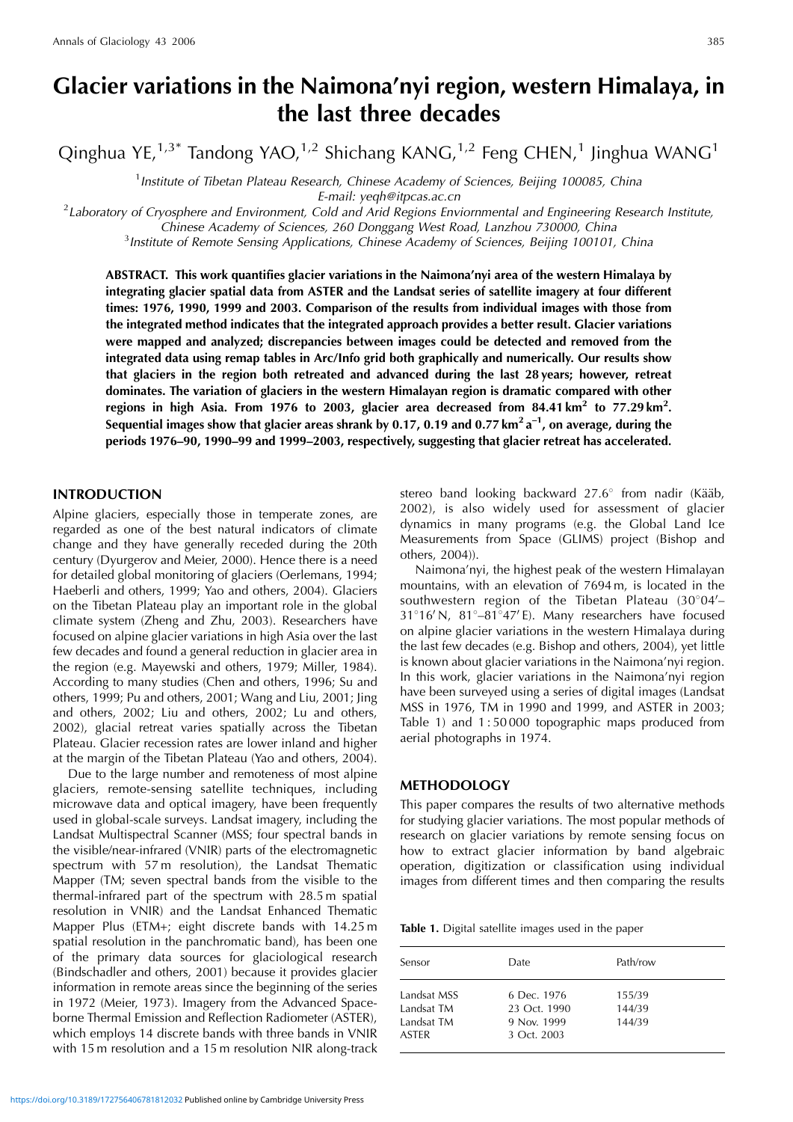# **Glacier variations in the Naimona'nyi region, western Himalaya, in the last three decades**

Qinghua YE,<sup>1,3\*</sup> Tandong YAO,<sup>1,2</sup> Shichang KANG,<sup>1,2</sup> Feng CHEN,<sup>1</sup> Jinghua WANG<sup>1</sup>

<sup>1</sup> Institute of Tibetan Plateau Research, Chinese Academy of Sciences, Beijing 100085, China

E-mail: yeqh@itpcas.ac.cn<br>Laboratory of Cryosphere and Environment, Cold and Arid Regions Enviornmental and Engineering Research Institute?

Chinese Academy of Sciences, 260 Donggang West Road, Lanzhou 730000, China <sup>3</sup>

<sup>3</sup> Institute of Remote Sensing Applications, Chinese Academy of Sciences, Beijing 100101, China

**ABSTRACT. This work quantifies glacier variations in the Naimona'nyi area of the western Himalaya by integrating glacier spatial data from ASTER and the Landsat series of satellite imagery at four different times: 1976, 1990, 1999 and 2003. Comparison of the results from individual images with those from the integrated method indicates that the integrated approach provides a better result. Glacier variations were mapped and analyzed; discrepancies between images could be detected and removed from the integrated data using remap tables in Arc/Info grid both graphically and numerically. Our results show that glaciers in the region both retreated and advanced during the last 28 years; however, retreat dominates. The variation of glaciers in the western Himalayan region is dramatic compared with other regions in high Asia. From 1976 to 2003, glacier area decreased from 84.41 km<sup>2</sup> to 77.29 km<sup>2</sup> . Sequential images show that glacier areas shrank by 0.17, 0.19 and 0.77 km<sup>2</sup> a–1, on average, during the periods 1976–90, 1990–99 and 1999–2003, respectively, suggesting that glacier retreat has accelerated.**

# **INTRODUCTION**

Alpine glaciers, especially those in temperate zones, are regarded as one of the best natural indicators of climate change and they have generally receded during the 20th century (Dyurgerov and Meier, 2000). Hence there is a need for detailed global monitoring of glaciers (Oerlemans, 1994; Haeberli and others, 1999; Yao and others, 2004). Glaciers on the Tibetan Plateau play an important role in the global climate system (Zheng and Zhu, 2003). Researchers have focused on alpine glacier variations in high Asia over the last few decades and found a general reduction in glacier area in the region (e.g. Mayewski and others, 1979; Miller, 1984). According to many studies (Chen and others, 1996; Su and others, 1999; Pu and others, 2001; Wang and Liu, 2001; Jing and others, 2002; Liu and others, 2002; Lu and others, 2002), glacial retreat varies spatially across the Tibetan Plateau. Glacier recession rates are lower inland and higher at the margin of the Tibetan Plateau (Yao and others, 2004).

Due to the large number and remoteness of most alpine glaciers, remote-sensing satellite techniques, including microwave data and optical imagery, have been frequently used in global-scale surveys. Landsat imagery, including the Landsat Multispectral Scanner (MSS; four spectral bands in the visible/near-infrared (VNIR) parts of the electromagnetic spectrum with 57 m resolution), the Landsat Thematic Mapper (TM; seven spectral bands from the visible to the thermal-infrared part of the spectrum with 28.5 m spatial resolution in VNIR) and the Landsat Enhanced Thematic Mapper Plus (ETM+; eight discrete bands with 14.25 m spatial resolution in the panchromatic band), has been one of the primary data sources for glaciological research (Bindschadler and others, 2001) because it provides glacier information in remote areas since the beginning of the series in 1972 (Meier, 1973). Imagery from the Advanced Spaceborne Thermal Emission and Reflection Radiometer (ASTER), which employs 14 discrete bands with three bands in VNIR with 15 m resolution and a 15 m resolution NIR along-track

stereo band looking backward  $27.6^{\circ}$  from nadir (Kääb, 2002), is also widely used for assessment of glacier dynamics in many programs (e.g. the Global Land Ice Measurements from Space (GLIMS) project (Bishop and others, 2004)).

Naimona'nyi, the highest peak of the western Himalayan mountains, with an elevation of 7694 m, is located in the southwestern region of the Tibetan Plateau  $(30^{\circ}04^{\prime} 31^{\circ}16^{\prime}$  N,  $81^{\circ}-81^{\circ}47^{\prime}$  E). Many researchers have focused on alpine glacier variations in the western Himalaya during the last few decades (e.g. Bishop and others, 2004), yet little is known about glacier variations in the Naimona'nyi region. In this work, glacier variations in the Naimona'nyi region have been surveyed using a series of digital images (Landsat MSS in 1976, TM in 1990 and 1999, and ASTER in 2003; Table 1) and 1 : 50 000 topographic maps produced from aerial photographs in 1974.

## **METHODOLOGY**

This paper compares the results of two alternative methods for studying glacier variations. The most popular methods of research on glacier variations by remote sensing focus on how to extract glacier information by band algebraic operation, digitization or classification using individual images from different times and then comparing the results

**Table 1.** Digital satellite images used in the paper

| Sensor                                                  | Date.                                                     | Path/row                   |
|---------------------------------------------------------|-----------------------------------------------------------|----------------------------|
| Landsat MSS<br>Landsat TM<br>Landsat TM<br><b>ASTER</b> | 6 Dec. 1976<br>23 Oct. 1990<br>9 Nov. 1999<br>3 Oct. 2003 | 155/39<br>144/39<br>144/39 |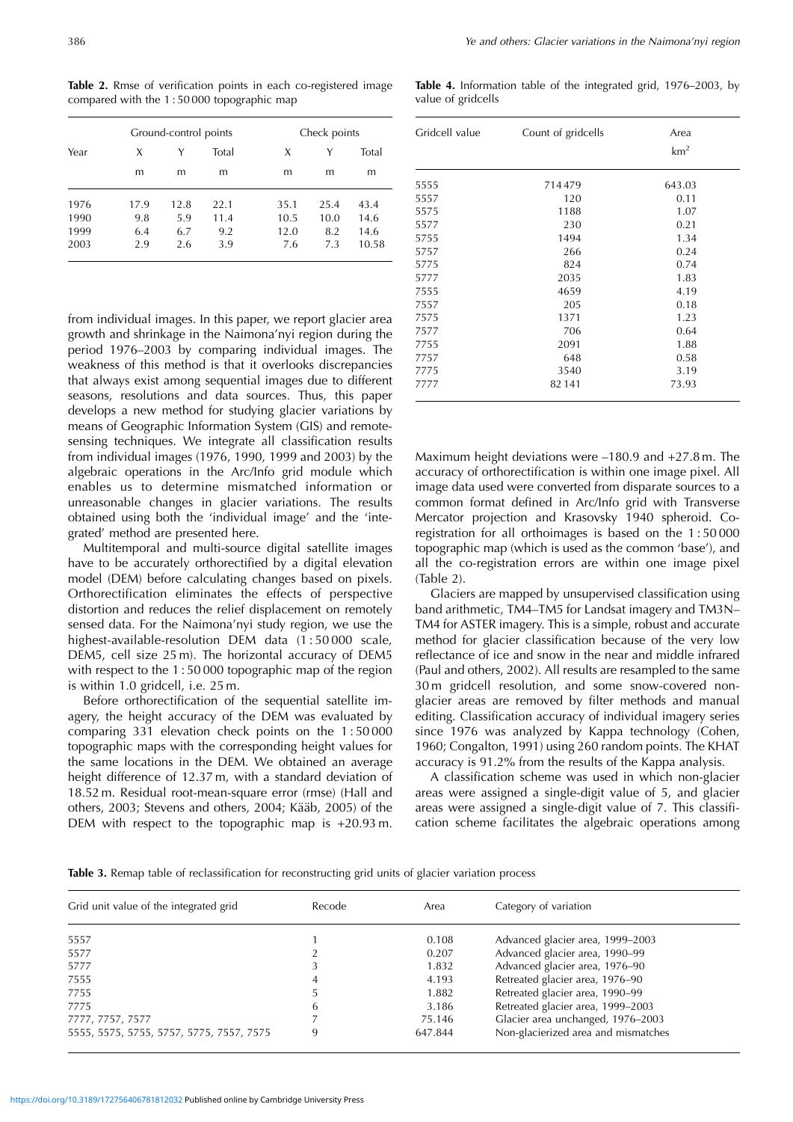**Table 2.** Rmse of verification points in each co-registered image compared with the 1 : 50 000 topographic map

|      | Ground-control points |      |       | Check points |      |       |
|------|-----------------------|------|-------|--------------|------|-------|
| Year | X                     | Υ    | Total | X            | Y    | Total |
|      | m                     | m    | m     | m            | m    | m     |
| 1976 | 17.9                  | 12.8 | 22.1  | 35.1         | 25.4 | 43.4  |
| 1990 | 9.8                   | 5.9  | 11.4  | 10.5         | 10.0 | 14.6  |
| 1999 | 6.4                   | 6.7  | 9.2   | 12.0         | 8.2  | 14.6  |
| 2003 | 2.9                   | 2.6  | 3.9   | 7.6          | 7.3  | 10.58 |

from individual images. In this paper, we report glacier area growth and shrinkage in the Naimona'nyi region during the period 1976–2003 by comparing individual images. The weakness of this method is that it overlooks discrepancies that always exist among sequential images due to different seasons, resolutions and data sources. Thus, this paper develops a new method for studying glacier variations by means of Geographic Information System (GIS) and remotesensing techniques. We integrate all classification results from individual images (1976, 1990, 1999 and 2003) by the algebraic operations in the Arc/Info grid module which enables us to determine mismatched information or unreasonable changes in glacier variations. The results obtained using both the 'individual image' and the 'integrated' method are presented here.

Multitemporal and multi-source digital satellite images have to be accurately orthorectified by a digital elevation model (DEM) before calculating changes based on pixels. Orthorectification eliminates the effects of perspective distortion and reduces the relief displacement on remotely sensed data. For the Naimona'nyi study region, we use the highest-available-resolution DEM data (1:50000 scale, DEM5, cell size 25 m). The horizontal accuracy of DEM5 with respect to the 1 : 50 000 topographic map of the region is within 1.0 gridcell, i.e. 25 m.

Before orthorectification of the sequential satellite imagery, the height accuracy of the DEM was evaluated by comparing 331 elevation check points on the 1 : 50 000 topographic maps with the corresponding height values for the same locations in the DEM. We obtained an average height difference of 12.37 m, with a standard deviation of 18.52 m. Residual root-mean-square error (rmse) (Hall and others, 2003; Stevens and others, 2004; Kääb, 2005) of the DEM with respect to the topographic map is +20.93 m.

**Table 4.** Information table of the integrated grid, 1976–2003, by value of gridcells

| Gridcell value | Count of gridcells | Area            |  |
|----------------|--------------------|-----------------|--|
|                |                    | km <sup>2</sup> |  |
| 5555           | 714479             | 643.03          |  |
| 5557           | 120                | 0.11            |  |
| 5575           | 1188               | 1.07            |  |
| 5577           | 230                | 0.21            |  |
| 5755           | 1494               | 1.34            |  |
| 5757           | 266                | 0.24            |  |
| 5775           | 824                | 0.74            |  |
| 5777           | 2035               | 1.83            |  |
| 7555           | 4659               | 4.19            |  |
| 7557           | 205                | 0.18            |  |
| 7575           | 1371               | 1.23            |  |
| 7577           | 706                | 0.64            |  |
| 7755           | 2091               | 1.88            |  |
| 7757           | 648                | 0.58            |  |
| 7775           | 3540               | 3.19            |  |
| 7777           | 82141              | 73.93           |  |

Maximum height deviations were –180.9 and +27.8 m. The accuracy of orthorectification is within one image pixel. All image data used were converted from disparate sources to a common format defined in Arc/Info grid with Transverse Mercator projection and Krasovsky 1940 spheroid. Coregistration for all orthoimages is based on the 1 : 50 000 topographic map (which is used as the common 'base'), and all the co-registration errors are within one image pixel (Table 2).

Glaciers are mapped by unsupervised classification using band arithmetic, TM4–TM5 for Landsat imagery and TM3N– TM4 for ASTER imagery. This is a simple, robust and accurate method for glacier classification because of the very low reflectance of ice and snow in the near and middle infrared (Paul and others, 2002). All results are resampled to the same 30 m gridcell resolution, and some snow-covered nonglacier areas are removed by filter methods and manual editing. Classification accuracy of individual imagery series since 1976 was analyzed by Kappa technology (Cohen, 1960; Congalton, 1991) using 260 random points. The KHAT accuracy is 91.2% from the results of the Kappa analysis.

A classification scheme was used in which non-glacier areas were assigned a single-digit value of 5, and glacier areas were assigned a single-digit value of 7. This classification scheme facilitates the algebraic operations among

**Table 3.** Remap table of reclassification for reconstructing grid units of glacier variation process

| Grid unit value of the integrated grid   | Recode | Area    | Category of variation               |  |
|------------------------------------------|--------|---------|-------------------------------------|--|
| 5557                                     |        | 0.108   | Advanced glacier area, 1999-2003    |  |
| 5577                                     |        | 0.207   | Advanced glacier area, 1990-99      |  |
| 5777                                     |        | 1.832   | Advanced glacier area, 1976-90      |  |
| 7555                                     | 4      | 4.193   | Retreated glacier area, 1976-90     |  |
| 7755                                     |        | 1.882   | Retreated glacier area, 1990-99     |  |
| 7775                                     | b      | 3.186   | Retreated glacier area, 1999-2003   |  |
| 7777, 7757, 7577                         |        | 75.146  | Glacier area unchanged, 1976-2003   |  |
| 5555, 5575, 5755, 5757, 5775, 7557, 7575 | 9      | 647.844 | Non-glacierized area and mismatches |  |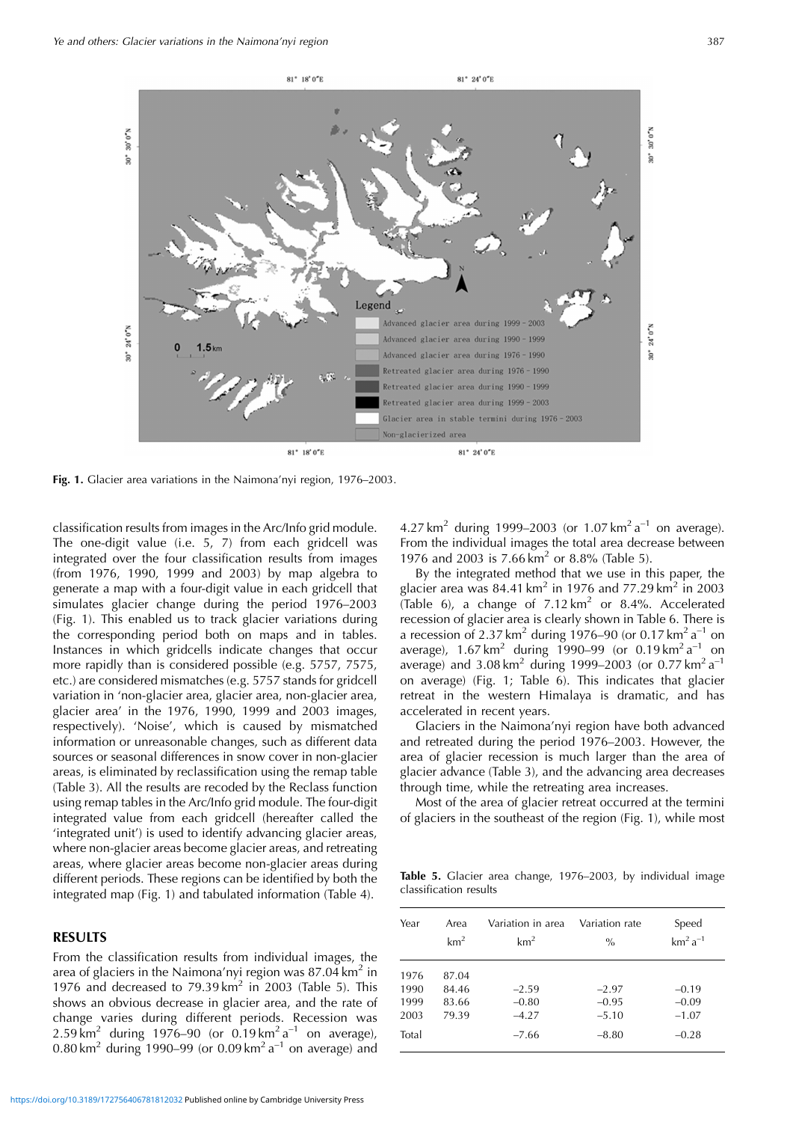

**Fig. 1.** Glacier area variations in the Naimona'nyi region, 1976–2003.

classification results from images in the Arc/Info grid module. The one-digit value (i.e. 5, 7) from each gridcell was integrated over the four classification results from images (from 1976, 1990, 1999 and 2003) by map algebra to generate a map with a four-digit value in each gridcell that simulates glacier change during the period 1976–2003 (Fig. 1). This enabled us to track glacier variations during the corresponding period both on maps and in tables. Instances in which gridcells indicate changes that occur more rapidly than is considered possible (e.g. 5757, 7575, etc.) are considered mismatches (e.g. 5757 stands for gridcell variation in 'non-glacier area, glacier area, non-glacier area, glacier area' in the 1976, 1990, 1999 and 2003 images, respectively). 'Noise', which is caused by mismatched information or unreasonable changes, such as different data sources or seasonal differences in snow cover in non-glacier areas, is eliminated by reclassification using the remap table (Table 3). All the results are recoded by the Reclass function using remap tables in the Arc/Info grid module. The four-digit integrated value from each gridcell (hereafter called the 'integrated unit') is used to identify advancing glacier areas, where non-glacier areas become glacier areas, and retreating areas, where glacier areas become non-glacier areas during different periods. These regions can be identified by both the integrated map (Fig. 1) and tabulated information (Table 4).

# **RESULTS**

From the classification results from individual images, the area of glaciers in the Naimona'nyi region was  $87.04 \mathrm{km^2}$  in 1976 and decreased to  $79.39 \text{ km}^2$  in 2003 (Table 5). This shows an obvious decrease in glacier area, and the rate of change varies during different periods. Recession was 2.59  $\text{km}^2$  during 1976–90 (or 0.19  $\text{km}^2$  a<sup>-1</sup> on average), 0.80 km<sup>2</sup> during 1990–99 (or 0.09 km<sup>2</sup> a<sup>-1</sup> on average) and

4.27 km<sup>2</sup> during 1999–2003 (or 1.07 km<sup>2</sup> a<sup>-1</sup> on average). From the individual images the total area decrease between 1976 and 2003 is 7.66 km<sup>2</sup> or 8.8% (Table 5).

By the integrated method that we use in this paper, the glacier area was 84.41 km<sup>2</sup> in 1976 and 77.29 km<sup>2</sup> in 2003 (Table 6), a change of  $7.12 \text{ km}^2$  or 8.4%. Accelerated recession of glacier area is clearly shown in Table 6. There is a recession of 2.37 km<sup>2</sup> during 1976–90 (or 0.17 km<sup>2</sup> a<sup>-1</sup> on average),  $1.67 \text{ km}^2$  during 1990–99 (or 0.19 km<sup>2</sup> a<sup>-1</sup> on average) and  $3.08 \text{ km}^2$  during 1999–2003 (or 0.77 km<sup>2</sup> a<sup>-1</sup> on average) (Fig. 1; Table 6). This indicates that glacier retreat in the western Himalaya is dramatic, and has accelerated in recent years.

Glaciers in the Naimona'nyi region have both advanced and retreated during the period 1976–2003. However, the area of glacier recession is much larger than the area of glacier advance (Table 3), and the advancing area decreases through time, while the retreating area increases.

Most of the area of glacier retreat occurred at the termini of glaciers in the southeast of the region (Fig. 1), while most

**Table 5.** Glacier area change, 1976–2003, by individual image classification results

| Year                                  | Area                             | Variation in area                        | Variation rate                           | Speed                                    |
|---------------------------------------|----------------------------------|------------------------------------------|------------------------------------------|------------------------------------------|
|                                       | km <sup>2</sup>                  | km <sup>2</sup>                          | $\frac{0}{0}$                            | $km2 a-1$                                |
| 1976<br>1990<br>1999<br>2003<br>Total | 87.04<br>84.46<br>83.66<br>79.39 | $-2.59$<br>$-0.80$<br>$-4.27$<br>$-7.66$ | $-2.97$<br>$-0.95$<br>$-5.10$<br>$-8.80$ | $-0.19$<br>$-0.09$<br>$-1.07$<br>$-0.28$ |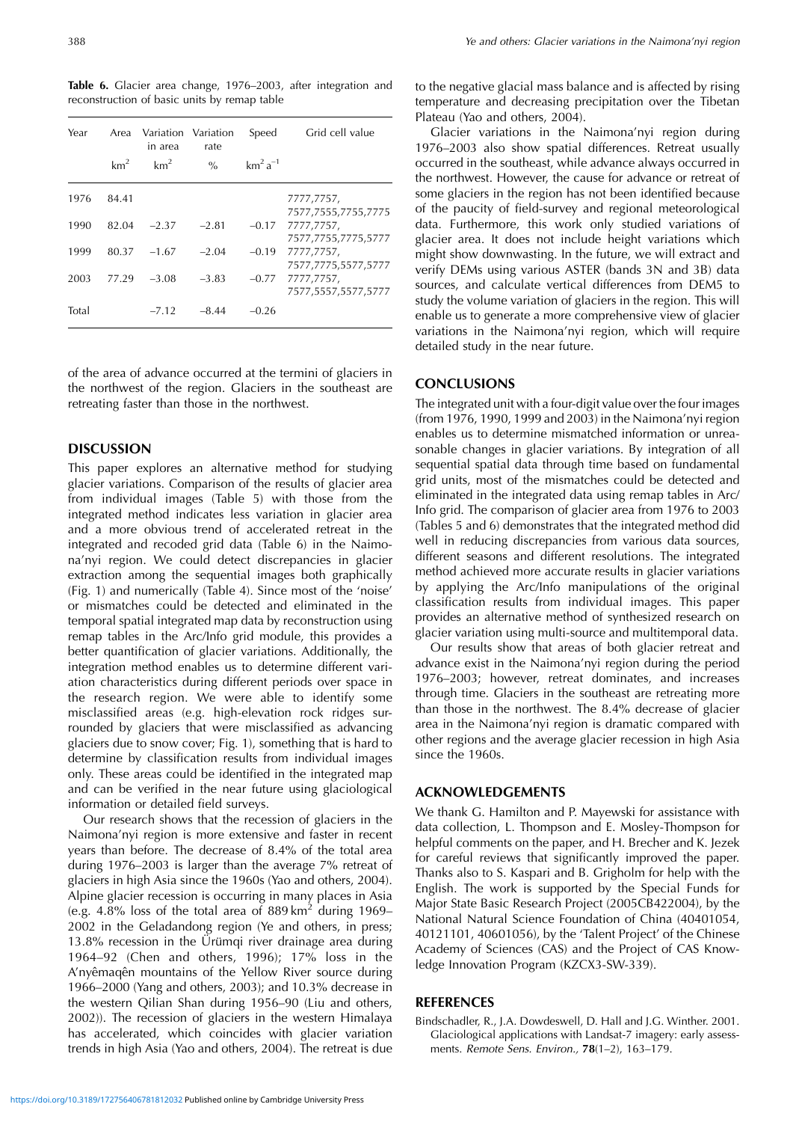**Table 6.** Glacier area change, 1976–2003, after integration and reconstruction of basic units by remap table

| Year  | Area<br>km <sup>2</sup> | Variation Variation<br>in area<br>km <sup>2</sup> | rate<br>$\frac{0}{0}$ | Speed<br>$km^2a^{-1}$ | Grid cell value                   |
|-------|-------------------------|---------------------------------------------------|-----------------------|-----------------------|-----------------------------------|
| 1976  | 84.41                   |                                                   |                       |                       | 7777,7757,<br>7577,7555,7755,7775 |
| 1990  | 82.04                   | $-2.37$                                           | $-2.81$               | $-0.17$               | 7777,7757,<br>7577,7755,7775,5777 |
| 1999  | 80.37                   | $-1.67$                                           | $-2.04$               | $-0.19$               | 7777,7757,<br>7577,7775,5577,5777 |
| 2003  | 77.29                   | $-3.08$                                           | $-3.83$               | $-0.77$               | 7777,7757,<br>7577,5557,5577,5777 |
| Total |                         | $-7.12$                                           | $-8.44$               | $-0.26$               |                                   |

of the area of advance occurred at the termini of glaciers in the northwest of the region. Glaciers in the southeast are retreating faster than those in the northwest.

# **DISCUSSION**

This paper explores an alternative method for studying glacier variations. Comparison of the results of glacier area from individual images (Table 5) with those from the integrated method indicates less variation in glacier area and a more obvious trend of accelerated retreat in the integrated and recoded grid data (Table 6) in the Naimona'nyi region. We could detect discrepancies in glacier extraction among the sequential images both graphically (Fig. 1) and numerically (Table 4). Since most of the 'noise' or mismatches could be detected and eliminated in the temporal spatial integrated map data by reconstruction using remap tables in the Arc/Info grid module, this provides a better quantification of glacier variations. Additionally, the integration method enables us to determine different variation characteristics during different periods over space in the research region. We were able to identify some misclassified areas (e.g. high-elevation rock ridges surrounded by glaciers that were misclassified as advancing glaciers due to snow cover; Fig. 1), something that is hard to determine by classification results from individual images only. These areas could be identified in the integrated map and can be verified in the near future using glaciological information or detailed field surveys.

Our research shows that the recession of glaciers in the Naimona'nyi region is more extensive and faster in recent years than before. The decrease of 8.4% of the total area during 1976–2003 is larger than the average 7% retreat of glaciers in high Asia since the 1960s (Yao and others, 2004). Alpine glacier recession is occurring in many places in Asia (e.g. 4.8% loss of the total area of 889 km<sup>2</sup> during 1969– 2002 in the Geladandong region (Ye and others, in press;  $13.8\%$  recession in the Ürümgi river drainage area during 1964–92 (Chen and others, 1996); 17% loss in the A'nyêmagên mountains of the Yellow River source during 1966–2000 (Yang and others, 2003); and 10.3% decrease in the western Qilian Shan during 1956–90 (Liu and others, 2002)). The recession of glaciers in the western Himalaya has accelerated, which coincides with glacier variation trends in high Asia (Yao and others, 2004). The retreat is due to the negative glacial mass balance and is affected by rising temperature and decreasing precipitation over the Tibetan Plateau (Yao and others, 2004).

Glacier variations in the Naimona'nyi region during 1976–2003 also show spatial differences. Retreat usually occurred in the southeast, while advance always occurred in the northwest. However, the cause for advance or retreat of some glaciers in the region has not been identified because of the paucity of field-survey and regional meteorological data. Furthermore, this work only studied variations of glacier area. It does not include height variations which might show downwasting. In the future, we will extract and verify DEMs using various ASTER (bands 3N and 3B) data sources, and calculate vertical differences from DEM5 to study the volume variation of glaciers in the region. This will enable us to generate a more comprehensive view of glacier variations in the Naimona'nyi region, which will require detailed study in the near future.

#### **CONCLUSIONS**

The integrated unit with a four-digit value over the four images (from 1976, 1990, 1999 and 2003) in the Naimona'nyi region enables us to determine mismatched information or unreasonable changes in glacier variations. By integration of all sequential spatial data through time based on fundamental grid units, most of the mismatches could be detected and eliminated in the integrated data using remap tables in Arc/ Info grid. The comparison of glacier area from 1976 to 2003 (Tables 5 and 6) demonstrates that the integrated method did well in reducing discrepancies from various data sources, different seasons and different resolutions. The integrated method achieved more accurate results in glacier variations by applying the Arc/Info manipulations of the original classification results from individual images. This paper provides an alternative method of synthesized research on glacier variation using multi-source and multitemporal data.

Our results show that areas of both glacier retreat and advance exist in the Naimona'nyi region during the period 1976–2003; however, retreat dominates, and increases through time. Glaciers in the southeast are retreating more than those in the northwest. The 8.4% decrease of glacier area in the Naimona'nyi region is dramatic compared with other regions and the average glacier recession in high Asia since the 1960s.

## **ACKNOWLEDGEMENTS**

We thank G. Hamilton and P. Mayewski for assistance with data collection, L. Thompson and E. Mosley-Thompson for helpful comments on the paper, and H. Brecher and K. Jezek for careful reviews that significantly improved the paper. Thanks also to S. Kaspari and B. Grigholm for help with the English. The work is supported by the Special Funds for Major State Basic Research Project (2005CB422004), by the National Natural Science Foundation of China (40401054, 40121101, 40601056), by the 'Talent Project' of the Chinese Academy of Sciences (CAS) and the Project of CAS Knowledge Innovation Program (KZCX3-SW-339).

#### **REFERENCES**

Bindschadler, R., J.A. Dowdeswell, D. Hall and J.G. Winther. 2001. Glaciological applications with Landsat-7 imagery: early assessments. Remote Sens. Environ., **78**(1–2), 163–179.